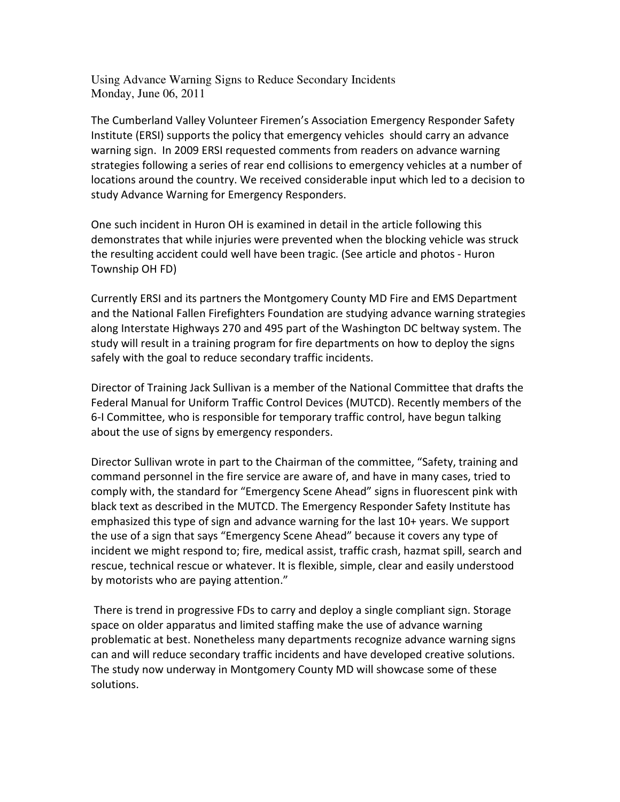Using Advance Warning Signs to Reduce Secondary Incidents Monday, June 06, 2011

The Cumberland Valley Volunteer Firemen's Association Emergency Responder Safety Institute (ERSI) supports the policy that emergency vehicles should carry an advance warning sign. In 2009 ERSI requested comments from readers on advance warning strategies following a series of rear end collisions to emergency vehicles at a number of locations around the country. We received considerable input which led to a decision to study Advance Warning for Emergency Responders.

One such incident in Huron OH is examined in detail in the article following this demonstrates that while injuries were prevented when the blocking vehicle was struck the resulting accident could well have been tragic. (See article and photos - Huron Township OH FD)

Currently ERSI and its partners the Montgomery County MD Fire and EMS Department and the National Fallen Firefighters Foundation are studying advance warning strategies along Interstate Highways 270 and 495 part of the Washington DC beltway system. The study will result in a training program for fire departments on how to deploy the signs safely with the goal to reduce secondary traffic incidents.

Director of Training Jack Sullivan is a member of the National Committee that drafts the Federal Manual for Uniform Traffic Control Devices (MUTCD). Recently members of the 6-I Committee, who is responsible for temporary traffic control, have begun talking about the use of signs by emergency responders.

Director Sullivan wrote in part to the Chairman of the committee, "Safety, training and command personnel in the fire service are aware of, and have in many cases, tried to comply with, the standard for "Emergency Scene Ahead" signs in fluorescent pink with black text as described in the MUTCD. The Emergency Responder Safety Institute has emphasized this type of sign and advance warning for the last 10+ years. We support the use of a sign that says "Emergency Scene Ahead" because it covers any type of incident we might respond to; fire, medical assist, traffic crash, hazmat spill, search and rescue, technical rescue or whatever. It is flexible, simple, clear and easily understood by motorists who are paying attention."

 There is trend in progressive FDs to carry and deploy a single compliant sign. Storage space on older apparatus and limited staffing make the use of advance warning problematic at best. Nonetheless many departments recognize advance warning signs can and will reduce secondary traffic incidents and have developed creative solutions. The study now underway in Montgomery County MD will showcase some of these solutions.